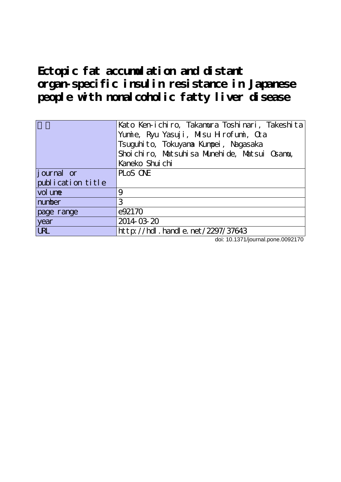**Ectopic fat accumulation and distant organ-specific insulin resistance in Japanese people with nonalcoholic fatty liver disease**

|                   | Kato Ken-ichiro, Takamura Toshinari, Takeshita<br>Yumie, Ryu Yasuji, Misu Hrofumi, Cra<br>Tsuguhito, Tokuyana Kunpei, Nagasaka<br>Shoi chi ro, Matsuhi sa Munehi de, Matsui Osamu, |
|-------------------|------------------------------------------------------------------------------------------------------------------------------------------------------------------------------------|
|                   | Kaneko Shuichi                                                                                                                                                                     |
| journal or        | PLOS ONE                                                                                                                                                                           |
| publication title |                                                                                                                                                                                    |
| vol une           | 9                                                                                                                                                                                  |
| number            | 3                                                                                                                                                                                  |
| page range        | e92170                                                                                                                                                                             |
| year              | 2014-03-20                                                                                                                                                                         |
| $\overline{UR}$   | http://hdl.handle.net/2297/37643                                                                                                                                                   |

doi: 10.1371/journal.pone.0092170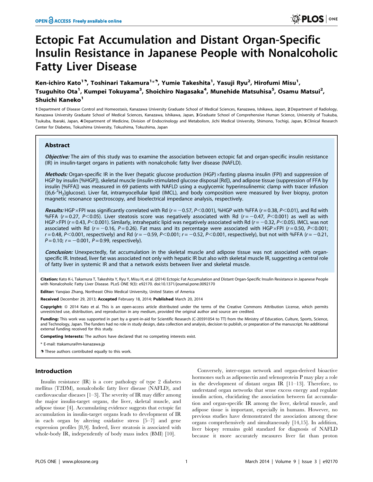# Ectopic Fat Accumulation and Distant Organ-Specific Insulin Resistance in Japanese People with Nonalcoholic Fatty Liver Disease

Ken-ichiro Kato<sup>19</sup>, Toshinari Takamura<sup>1</sup>\*<sup>9</sup>, Yumie Takeshita<sup>1</sup>, Yasuji Ryu<sup>2</sup>, Hirofumi Misu<sup>1</sup>, Tsuguhito Ota<sup>1</sup>, Kumpei Tokuyama<sup>3</sup>, Shoichiro Nagasaka<sup>4</sup>, Munehide Matsuhisa<sup>5</sup>, Osamu Matsui<sup>2</sup>, Shuichi Kaneko<sup>1</sup>

1 Department of Disease Control and Homeostasis, Kanazawa University Graduate School of Medical Sciences, Kanazawa, Ishikawa, Japan, 2Department of Radiology, Kanazawa University Graduate School of Medical Sciences, Kanazawa, Ishikawa, Japan, 3 Graduate School of Comprehensive Human Science, University of Tsukuba, Tsukuba, Ibaraki, Japan, 4 Department of Medicine, Division of Endocrinology and Metabolism, Jichi Medical University, Shimono, Tochigi, Japan, 5 Clinical Research Center for Diabetes, Tokushima University, Tokushima, Tokushima, Japan

# Abstract

Objective: The aim of this study was to examine the association between ectopic fat and organ-specific insulin resistance (IR) in insulin-target organs in patients with nonalcoholic fatty liver disease (NAFLD).

Methods: Organ-specific IR in the liver (hepatic glucose production (HGP) xfasting plasma insulin (FPI) and suppression of HGP by insulin [%HGP]), skeletal muscle (insulin-stimulated glucose disposal [Rd]), and adipose tissue (suppression of FFA by insulin [%FFA]) was measured in 69 patients with NAFLD using a euglycemic hyperinsulinemic clamp with tracer infusion ([6,6-<sup>2</sup>H<sub>2</sub>]glucose). Liver fat, intramyocellular lipid (IMCL), and body composition were measured by liver biopsy, proton magnetic resonance spectroscopy, and bioelectrical impedance analysis, respectively.

Results: HGP × FPI was significantly correlated with Rd ( $r = -0.57$ , P $<$ 0.001), %HGP with %FFA ( $r = 0.38$ , P $<$ 0.01), and Rd with %FFA ( $r = 0.27$ , P<0.05). Liver steatosis score was negatively associated with Rd ( $r = -0.47$ , P<0.001) as well as with HGP×FPI ( $r = 0.43$ , P<0.001). Similarly, intrahepatic lipid was negatively associated with Rd ( $r = -0.32$ , P<0.05). IMCL was not associated with Rd ( $r = -0.16$ ,  $P = 0.26$ ). Fat mass and its percentage were associated with HGP×FPI ( $r = 0.50$ , P<0.001;  $r = 0.48$ ,  $P < 0.001$ , respectively) and Rd ( $r = -0.59$ ,  $P < 0.001$ ;  $r = -0.52$ ,  $P < 0.001$ , respectively), but not with %FFA ( $r = -0.21$ ,  $P = 0.10$ ;  $r = -0.001$ ,  $P = 0.99$ , respectively).

Conclusion: Unexpectedly, fat accumulation in the skeletal muscle and adipose tissue was not associated with organspecific IR. Instead, liver fat was associated not only with hepatic IR but also with skeletal muscle IR, suggesting a central role of fatty liver in systemic IR and that a network exists between liver and skeletal muscle.

Citation: Kato K-i, Takamura T, Takeshita Y, Ryu Y, Misu H, et al. (2014) Ectopic Fat Accumulation and Distant Organ-Specific Insulin Resistance in Japanese People with Nonalcoholic Fatty Liver Disease. PLoS ONE 9(3): e92170. doi:10.1371/journal.pone.0092170

Editor: Yangiao Zhang, Northeast Ohio Medical University, United States of America

Received December 29, 2013; Accepted February 18, 2014; Published March 20, 2014

Copyright: @ 2014 Kato et al. This is an open-access article distributed under the terms of the [Creative Commons Attribution License,](http://creativecommons.org/licenses/by/4.0/) which permits unrestricted use, distribution, and reproduction in any medium, provided the original author and source are credited.

Funding: This work was supported in part by a grant-in-aid for Scientific Research (C-20591054 to TT) from the Ministry of Education, Culture, Sports, Science, and Technology, Japan. The funders had no role in study design, data collection and analysis, decision to publish, or preparation of the manuscript. No additional external funding received for this study.

Competing Interests: The authors have declared that no competing interests exist.

\* E-mail: ttakamura@m-kanazawa.jp

**.** These authors contributed equally to this work.

# Introduction

Insulin resistance (IR) is a core pathology of type 2 diabetes mellitus (T2DM), nonalcoholic fatty liver disease (NAFLD), and cardiovascular diseases [1–3]. The severity of IR may differ among the major insulin-target organs, the liver, skeletal muscle, and adipose tissue [4]. Accumulating evidence suggests that ectopic fat accumulation in insulin-target organs leads to development of IR in each organ by altering oxidative stress [5–7] and gene expression profiles [8,9]. Indeed, liver steatosis is associated with whole-body IR, independently of body mass index (BMI) [10].

Conversely, inter-organ network and organ-derived bioactive hormones such as adiponectin and selenoprotein P may play a role in the development of distant organ IR [11–13]. Therefore, to understand organ networks that sense excess energy and regulate insulin action, elucidating the association between fat accumulation and organ-specific IR among the liver, skeletal muscle, and adipose tissue is important, especially in humans. However, no previous studies have demonstrated the association among these organs comprehensively and simultaneously [14,15]. In addition, liver biopsy remains gold standard for diagnosis of NAFLD because it more accurately measures liver fat than proton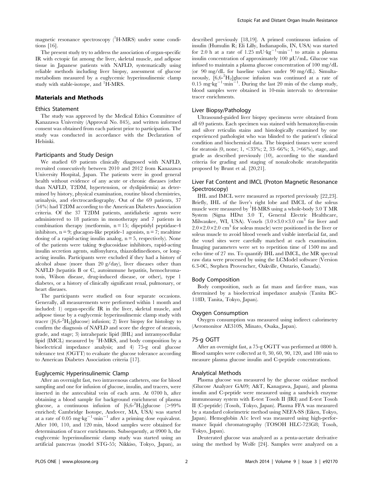magnetic resonance spectroscopy (<sup>1</sup>H-MRS) under some conditions [16].

The present study try to address the association of organ-specific IR with ectopic fat among the liver, skeletal muscle, and adipose tissue in Japanese patients with NAFLD, systematically using reliable methods including liver biopsy, assessment of glucose metabolism measured by a euglycemic hyperinsulinemic clamp study with stable-isotope, and <sup>1</sup>H-MRS.

# Materials and Methods

# Ethics Statement

The study was approved by the Medical Ethics Committee of Kanazawa University (Approval No. 845), and written informed consent was obtained from each patient prior to participation. The study was conducted in accordance with the Declaration of Helsinki.

## Participants and Study Design

We studied 69 patients clinically diagnosed with NAFLD, recruited consecutively between 2010 and 2012 from Kanazawa University Hospital, Japan. The patients were in good general health without evidence of any acute or chronic diseases (other than NAFLD, T2DM, hypertension, or dyslipidemia) as determined by history, physical examination, routine blood chemistries, urinalysis, and electrocardiography. Out of the 69 patients, 37 (54%) had T2DM according to the American Diabetes Association criteria. Of the 37 T2DM patients, antidiabetic agents were administered to 18 patients in monotherapy and 7 patients in combination therapy (metformin,  $n = 15$ ; dipeptidyl peptidase-4 inhibitors,  $n = 9$ ; glucagon-like peptide-1 agonists,  $n = 7$ ; mealtime dosing of a rapid-acting insulin analog,  $n = 5$ , respectively). None of the patients were taking  $\alpha$ -glucosidase inhibitors, rapid-acting insulin secretion agents, sulfonylurea, thiazolidinediones, or longacting insulin. Participants were excluded if they had a history of alcohol abuse (more than 20 g/day), liver diseases other than NAFLD (hepatitis B or C, autoimmune hepatitis, hemochromatosis, Wilson disease, drug-induced disease, or other), type 1 diabetes, or a history of clinically significant renal, pulmonary, or heart diseases.

The participants were studied on four separate occasions. Generally, all measurements were performed within 1 month and included: 1) organ-specific IR in the liver, skeletal muscle, and adipose tissue by a euglycemic hyperinsulinemic clamp study with tracer ([6,6-2 H2]glucose) infusion; 2) liver biopsy for histology to confirm the diagnosis of NAFLD and score the degree of steatosis, grade, and stage; 3) intrahepatic lipid (IHL) and intramyocellular lipid (IMCL) measured by <sup>1</sup>H-MRS, and body composition by a bioelectrical impedance analysis; and 4) 75-g oral glucose tolerance test (OGTT) to evaluate the glucose tolerance according to American Diabetes Association criteria [17].

### Euglycemic Hyperinsulinemic Clamp

After an overnight fast, two intravenous catheters, one for blood sampling and one for infusion of glucose, insulin, and tracers, were inserted in the antecubital vein of each arm. At 0700 h, after obtaining a blood sample for background enrichment of plasma glucose, a continuous infusion of  $[6,6^{-2}H_2]$ glucose (>99% enriched; Cambridge Isotope, Andover, MA, USA) was started at a rate of 0.05 mg·kg<sup>-1</sup>·min<sup>-1</sup> after a priming dose equivalent. After 100, 110, and 120 min, blood samples were obtained for determination of tracer enrichments. Subsequently, at 0900 h, the euglycemic hyperinsulinemic clamp study was started using an artificial pancreas (model STG-55; Nikkiso, Tokyo, Japan), as described previously [18,19]. A primed continuous infusion of insulin (Humulin R; Eli Lilly, Indianapolis, IN, USA) was started for 2.0 h at a rate of  $1.25 \text{ mU/kg}^{-1} \cdot \text{min}^{-1}$  to attain a plasma insulin concentration of approximately  $100 \mu U/mL$ . Glucose was infused to maintain a plasma glucose concentration of 100 mg/dL (or 90 mg/dL for baseline values under 90 mg/dL). Simultaneously, [6,6-2 H2]glucose infusion was continued at a rate of  $0.15 \text{ mg} \cdot \text{kg}^{-1} \cdot \text{min}^{-1}$ . During the last 20 min of the clamp study, blood samples were obtained in 10-min intervals to determine tracer enrichments.

#### Liver Biopsy/Pathology

Ultrasound-guided liver biopsy specimens were obtained from all 69 patients. Each specimen was stained with hematoxylin-eosin and silver reticulin stains and histologically examined by one experienced pathologist who was blinded to the patient's clinical condition and biochemical data. The biopsied tissues were scored for steatosis  $(0, \text{none}; 1, \leq 33\%; 2, 33-66\%; 3, \geq 66\%), \text{stage}, \text{and}$ grade as described previously (10), according to the standard criteria for grading and staging of nonalcoholic steatohepatitis proposed by Brunt et al. [20,21].

# Liver Fat Content and IMCL (Proton Magnetic Resonance Spectroscopy)

IHL and IMCL were measured as reported previously [22,23]. Briefly, IHL of the liver's right lobe and IMCL of the soleus muscle were measured by  ${}^{1}$ H-MRS using a whole-body 3.0 T MR System (Signa HDxt 3.0 T, General Electric Healthcare, Milwaukee, WI, USA). Voxels  $(3.0\times3.0\times3.0 \text{ cm}^3$  for liver and  $2.0\times2.0\times2.0$  cm<sup>3</sup> for soleus muscle) were positioned in the liver or soleus muscle to avoid blood vessels and visible interfacial fat, and the voxel sites were carefully matched at each examination. Imaging parameters were set to repetition time of 1500 ms and echo time of 27 ms. To quantify IHL and IMCL, the MR spectral raw data were processed by using the LCModel software (Version 6.3-0C, Stephen Provencher, Oakville, Ontario, Canada).

#### Body Composition

Body composition, such as fat mass and fat-free mass, was determined by a bioelectrical impedance analysis (Tanita BC-118D, Tanita, Tokyo, Japan).

#### Oxygen Consumption

Oxygen consumption was measured using indirect calorimetry (Aeromonitor AE310S, Minato, Osaka, Japan).

#### 75-g OGTT

After an overnight fast, a 75-g OGTT was performed at 0800 h. Blood samples were collected at 0, 30, 60, 90, 120, and 180 min to measure plasma glucose insulin and C-peptide concentrations.

#### Analytical Methods

Plasma glucose was measured by the glucose oxidase method (Glucose Analyzer GA09; A&T, Kanagawa, Japan), and plasma insulin and C-peptide were measured using a sandwich enzyme immunoassay system with E-test Tosoh II (IRI) and E-test Tosoh II (C-peptide) (Tosoh, Tokyo, Japan). Plasma FFA was measured by a standard colorimetric method using NEFA-SS (Eiken, Tokyo, Japan). Hemoglobin A1c level was measured using high-performance liquid chromatography (TOSOH HLC-723G8; Tosoh, Tokyo, Japan).

Deuterated glucose was analyzed as a penta-acetate derivative using the method by Wolfe [24]. Samples were analyzed on a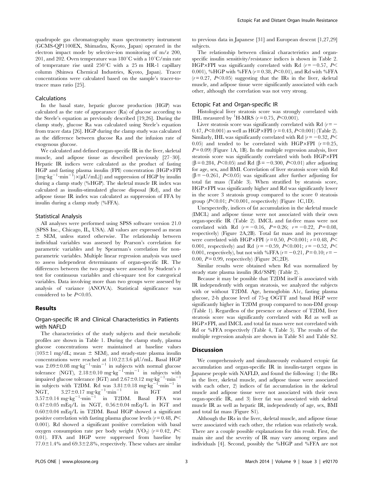quadrupole gas chromatography mass spectrometry instrument (GCMS-QP1100EX, Shimadzu, Kyoto, Japan) operated in the electron impact mode by selective-ion monitoring of m/z 200, 201, and 202. Oven temperature was  $180^{\circ}$ C with a  $10^{\circ}$ C/min rate of temperature rise until  $250^{\circ}$ C with a  $25$  m HR-1 capillary column (Shinwa Chemical Industries, Kyoto, Japan). Tracer concentrations were calculated based on the sample's tracer-totracee mass ratio [25].

#### Calculations

In the basal state, hepatic glucose production (HGP) was calculated as the rate of appearance (Ra) of glucose according to the Steele's equation as previously described [19,26]. During the clamp study, glucose Ra was calculated using Steele's equation from tracer data [26]. HGP during the clamp study was calculated as the difference between glucose Ra and the infusion rate of exogenous glucose.

We calculated and defined organ-specific IR in the liver, skeletal muscle, and adipose tissue as described previously [27–30]. Hepatic IR indices were calculated as the product of fasting  $HGP$  and fasting plasma insulin (FPI) concentration ( $HGP \times FPI$  $[(mg \cdot \text{kg}^{-1} \cdot \text{min}^{-1}) \times (\mu U/\text{mL})]$  and suppression of HGP by insulin during a clamp study (%HGP). The skeletal muscle IR index was calculated as insulin-stimulated glucose disposal (Rd), and the adipose tissue IR index was calculated as suppression of FFA by insulin during a clamp study (%FFA).

#### Statistical Analysis

All analyses were performed using SPSS software version 21.0 (SPSS Inc., Chicago, IL, USA). All values are expressed as mean  $\pm$  SEM, unless stated otherwise. The relationship between individual variables was assessed by Pearson's correlation for parametric variables and by Spearman's correlation for nonparametric variables. Multiple linear regression analysis was used to assess independent determinants of organ-specific IR. The differences between the two groups were assessed by Student's ttest for continuous variables and chi-square test for categorical variables. Data involving more than two groups were assessed by analysis of variance (ANOVA). Statistical significance was considered to be  $P<0.05$ .

## Results

# Organ-specific IR and Clinical Characteristics in Patients with NAFLD

The characteristics of the study subjects and their metabolic profiles are shown in Table 1. During the clamp study, plasma glucose concentrations were maintained at baseline values  $(103\pm1 \text{ mg/dL}; \text{mean } \pm \text{ SEM})$ , and steady-state plasma insulin concentrations were reached at  $110.2 \pm 3.6$   $\mu$ U/mL. Basal HGP was  $2.09\pm0.08$  mg $\cdot$ kg<sup>-1</sup> $\cdot$ min<sup>-1</sup> in subjects with normal glucose tolerance (NGT),  $2.18 \pm 0.10$  mg·kg<sup>-1</sup>·min<sup>-1</sup> in subjects with impaired glucose tolerance (IGT) and  $2.67 \pm 0.12$  mg·kg<sup>-1</sup>·min<sup>-1</sup> in subjects with T2DM. Rd was  $3.81 \pm 0.18$  mg·kg<sup>-1</sup>·min<sup>-1</sup> in NGT,  $3.27 \pm 0.17$  mg·kg<sup>-1</sup>·min<sup>-1</sup> in IGT and  $3.57\pm0.14$  mg·kg<sup>-1</sup>·min<sup>-1</sup> in T2DM. Basal FFA was  $0.47\pm0.05$  mEq/L in NGT,  $0.56\pm0.04$  mEq/L in IGT and  $0.60\pm0.04$  mEq/L in T2DM. Basal HGP showed a significant positive correlation with fasting plasma glucose levels ( $r = 0.48$ ,  $P \leq$ 0.001). Rd showed a significant positive correlation with basal oxygen consumption rate per body weight (VO<sub>2</sub>) ( $r = 0.42$ , P< 0.01). FFA and HGP were suppressed from baseline by  $77.0 \pm 1.4\%$  and  $69.3 \pm 2.8\%$ , respectively. These values are similar to previous data in Japanese [31] and European descent [1,27,29] subjects.

The relationship between clinical characteristics and organspecific insulin sensitivity/resistance indices is shown in Table 2. HGP×FPI was significantly correlated with Rd ( $r = -0.57$ , P< 0.001), %HGP with %FFA ( $r = 0.38$ ,  $P < 0.01$ ), and Rd with %FFA  $(r=0.27, P<0.05)$  suggesting that the IRs in the liver, skeletal muscle, and adipose tissue were significantly associated with each other, although the correlation was not very strong.

### Ectopic Fat and Organ-specific IR

Histological liver steatosis score was strongly correlated with IHL measured by <sup>1</sup>H-MRS ( $r = 0.75$ ,  $P < 0.001$ ).

Liver steatosis score was significantly correlated with Rd  $(r=-$ 0.47, P<0.001) as well as HGP×FPI ( $r = 0.43$ , P<0.001) (Table 2). Similarly, IHL was significantly correlated with Rd ( $r = -0.32, P <$ 0.05) and tended to be correlated with HGP $\times$ FPI (r = 0.25,  $P = 0.09$ ) (Figure 1A, 1B). In the multiple regression analysis, liver steatosis score was significantly correlated with both HGP×FPI ( $\beta$  = 0.284, P<0.05) and Rd ( $\beta$  = -0.300, P<0.01) after adjusting for age, sex, and BMI. Correlation of liver steatosis score with Rd  $(\beta = -0.261, P<0.05)$  was significant after further adjusting for total fat mass (Table 3). When stratified by steatosis score,  $HGP \times FPI$  was significantly higher and Rd was significantly lower in the score 3 steatosis group compared to the score 0 steatosis group  $(P<0.01; P<0.001$ , respectively) (Figure 1C,1D).

Unexpectedly, indices of fat accumulation in the skeletal muscle (IMCL) and adipose tissue were not associated with their own organ-specific IR (Table 2). IMCL and fat-free mass were not correlated with Rd  $(r = -0.16, P = 0.26; r = -0.22, P = 0.08,$ respectively) (Figure 2A,2B). Total fat mass and its percentage were correlated with HGP×FPI ( $r = 0.50$ , P<0.001;  $r = 0.48$ , P< 0.001, respectively) and Rd ( $r = -0.59$ , P $\leq 0.001$ ;  $r = -0.52$ , P $\leq$ 0.001, respectively), but not with %FFA  $(r = -0.21, P = 0.10; r = -1$ 0.00,  $P = 0.99$ , respectively) (Figure 2C,2D).

Similar results were obtained when Rd was normalized by steady state plasma insulin (Rd/SSPI) (Table 2).

Because it may be possible that T2DM itself is associated with IR independently with organ steatosis, we analyzed the subjects with or without T2DM. Age, hemoglobin A1c, fasting plasma glucose, 2-h glucose level of 75-g OGTT and basal HGP were significantly higher in T2DM group compared to non-DM group (Table 1). Regardless of the presence or absence of T2DM, liver steatosis score was significantly correlated with Rd as well as  $HGP \times FPI$ , and IMCL and total fat mass were not correlated with Rd or %FFA respectively (Table 4, Table 5). The results of the multiple regression analysis are shown in Table S1 and Table S2.

#### **Discussion**

We comprehensively and simultaneously evaluated ectopic fat accumulation and organ-specific IR in insulin-target organs in Japanese people with NAFLD, and found the following: 1) the IRs in the liver, skeletal muscle, and adipose tissue were associated with each other, 2) indices of fat accumulation in the skeletal muscle and adipose tissue were not associated with their own organ-specific IR, and 3) liver fat was associated with skeletal muscle IR as well as hepatic IR, independently of age, sex, BMI and total fat mass (Figure S1).

Although the IRs in the liver, skeletal muscle, and adipose tissue were associated with each other, the relation was relatively weak. There are a couple possible explanations for this result. First, the main site and the severity of IR may vary among organs and individuals [4]. Second, possibly the %HGP and %FFA are not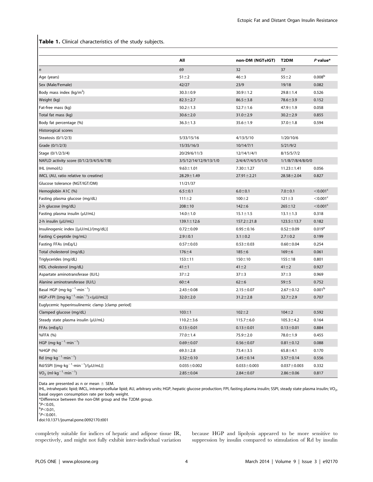Table 1. Clinical characteristics of the study subjects.

|                                                                               | All                   | non-DM (NGT+IGT)  | T <sub>2</sub> DM | $P$ value*              |
|-------------------------------------------------------------------------------|-----------------------|-------------------|-------------------|-------------------------|
| $\boldsymbol{n}$                                                              | 69                    | 32                | 37                |                         |
| Age (years)                                                                   | $51 \pm 2$            | $46 + 3$          | $55 + 2$          | 0.008 <sup>b</sup>      |
| Sex (Male/Female)                                                             | 42/27                 | 23/9              | 19/18             | 0.082                   |
| Body mass index ( $kg/m2$ )                                                   | $30.3 \pm 0.9$        | $30.9 \pm 1.2$    | $29.8 \pm 1.4$    | 0.526                   |
| Weight (kg)                                                                   | $82.3 \pm 2.7$        | $86.5 \pm 3.8$    | $78.6 \pm 3.9$    | 0.152                   |
| Fat-free mass (kg)                                                            | $50.2 \pm 1.3$        | $52.7 \pm 1.6$    | $47.9 \pm 1.9$    | 0.058                   |
| Total fat mass (kg)                                                           | $30.6 \pm 2.0$        | $31.0 \pm 2.9$    | $30.2 \pm 2.9$    | 0.855                   |
| Body fat percentage (%)                                                       | $36.3 \pm 1.3$        | $35.6 \pm 1.9$    | $37.0 \pm 1.8$    | 0.594                   |
| Historogical scores                                                           |                       |                   |                   |                         |
| Steatosis (0/1/2/3)                                                           | 5/33/15/16            | 4/13/5/10         | 1/20/10/6         |                         |
| Grade (0/1/2/3)                                                               | 15/35/16/3            | 10/14/7/1         | 5/21/9/2          |                         |
| Stage (0/1/2/3/4)                                                             | 20/29/6/11/3          | 12/14/1/4/1       | 8/15/5/7/2        |                         |
| NAFLD activity score (0/1/2/3/4/5/6/7/8)                                      | 3/5/12/14/12/9/13/1/0 | 2/4/4/7/4/5/5/1/0 | 1/1/8/7/8/4/8/0/0 |                         |
| IHL (mmol/L)                                                                  | $9.63 \pm 1.01$       | $7.30 \pm 1.27$   | $11.23 \pm 1.41$  | 0.056                   |
| IMCL (AU, ratio relative to creatine)                                         | $28.29 \pm 1.49$      | $27.91 \pm 2.21$  | $28.58 \pm 2.04$  | 0.827                   |
| Glucose tolerance (NGT/IGT/DM)                                                | 11/21/37              |                   |                   |                         |
| Hemoglobin A1C (%)                                                            | $6.5 \pm 0.1$         | $6.0 + 0.1$       | $7.0 + 0.1$       | $<$ 0.001 $\textdegree$ |
| Fasting plasma glucose (mg/dL)                                                | $111 \pm 2$           | $100 + 2$         | $121 \pm 3$       | $<$ 0.001 $\textdegree$ |
| 2-h glucose (mg/dL)                                                           | $208 + 10$            | $142 + 6$         | $265 \pm 12$      | $<$ 0.001 $\textdegree$ |
| Fasting plasma insulin $(\mu U/mL)$                                           | $14.0 \pm 1.0$        | $15.1 \pm 1.5$    | $13.1 \pm 1.3$    | 0.318                   |
| 2-h insulin (µU/mL)                                                           | $139.1 \pm 12.6$      | $157.2 \pm 21.8$  | $123.5 \pm 13.7$  | 0.182                   |
| Insulinogenic index $[(\mu U/mL)/(mg/dL)]$                                    | $0.72 \pm 0.09$       | $0.95 \pm 0.16$   | $0.52 \pm 0.09$   | 0.019 <sup>a</sup>      |
| Fasting C-peptide (ng/mL)                                                     | $2.9 \pm 0.1$         | $3.1 \pm 0.2$     | $2.7 \pm 0.2$     | 0.199                   |
| Fasting FFAs (mEq/L)                                                          | $0.57 + 0.03$         | $0.53 \pm 0.03$   | $0.60 + 0.04$     | 0.254                   |
| Total cholesterol (mg/dL)                                                     | $176 + 4$             | $185 + 6$         | $169 + 6$         | 0.061                   |
| Triglycerides (mg/dL)                                                         | $153 + 11$            | $150 + 10$        | $155 + 18$        | 0.801                   |
| HDL cholesterol (mg/dL)                                                       | $41 \pm 1$            | $41 \pm 2$        | $41 \pm 2$        | 0.927                   |
| Aspartate aminotransferase (IU/L)                                             | $37 + 2$              | $37 + 3$          | $37 + 3$          | 0.969                   |
| Alanine aminotransferase (IU/L)                                               | $60 + 4$              | $62 + 6$          | $59 + 5$          | 0.752                   |
| Basal HGP (mg·kg <sup>-1</sup> ·min <sup>-1</sup> )                           | $2.43 \pm 0.08$       | $2.15 \pm 0.07$   | $2.67 \pm 0.12$   | 0.001 <sup>b</sup>      |
| $HGP \times FPI$ [(mg·kg <sup>-1</sup> ·min <sup>-1</sup> ) $\times$ (µU/mL)] | $32.0 \pm 2.0$        | $31.2 \pm 2.8$    | $32.7 \pm 2.9$    | 0.707                   |
| Euglycemic hyperinsulinemic clamp [clamp period]                              |                       |                   |                   |                         |
| Clamped glucose (mg/dL)                                                       | $103 + 1$             | $102 + 2$         | $104 + 2$         | 0.592                   |
| Steady state plasma insulin (µU/mL)                                           | $110.2 \pm 3.6$       | $115.7 \pm 6.0$   | $105.3 \pm 4.2$   | 0.164                   |
| FFAs (mEq/L)                                                                  | $0.13 \pm 0.01$       | $0.13 \pm 0.01$   | $0.13 \pm 0.01$   | 0.884                   |
| %FFA (%)                                                                      | $77.0 \pm 1.4$        | $75.9 \pm 2.0$    | $78.0 \pm 1.9$    | 0.455                   |
| HGP (mg·kg <sup>-1</sup> ·min <sup>-1</sup> )                                 | $0.69 \pm 0.07$       | $0.56 \pm 0.07$   | $0.81 \pm 0.12$   | 0.088                   |
| %HGP (%)                                                                      | $69.3 \pm 2.8$        | $73.4 \pm 3.5$    | $65.8 + 4.1$      | 0.170                   |
| Rd (mg·kg <sup>-1</sup> ·min <sup>-1</sup> )                                  | $3.52 \pm 0.10$       | $3.45 \pm 0.14$   | $3.57 \pm 0.14$   | 0.556                   |
| Rd/SSPI $[(mg \cdot kg^{-1} \cdot min^{-1})/(µU/mL)]$                         | $0.035 \pm 0.002$     | $0.033 \pm 0.003$ | $0.037 \pm 0.003$ | 0.332                   |
| $VO2$ (ml·kg <sup>-1</sup> ·min <sup>-1</sup> )                               | $2.85 \pm 0.04$       | $2.84 \pm 0.07$   | $2.86 \pm 0.06$   | 0.817                   |

Data are presented as n or mean  $\pm$  SEM.

IHL, intrahepatic lipid; IMCL, intramyocellular lipid; AU, arbitrary units; HGP, hepatic glucose production; FPI, fasting plasma insulin; SSPI, steady state plasma insulin; VO<sub>2</sub>, basal oxygen consumption rate per body weight.

\*Difference between the non-DM group and the T2DM group.

 $p$ <sub>0.01</sub>

 $P$ <0.001.

doi:10.1371/journal.pone.0092170.t001

completely suitable for indices of hepatic and adipose tissue IR, respectively, and might not fully exhibit inter-individual variation because HGP and lipolysis appeared to be more sensitive to suppression by insulin compared to stimulation of Rd by insulin

 $n^{\text{a}}P<0.05,$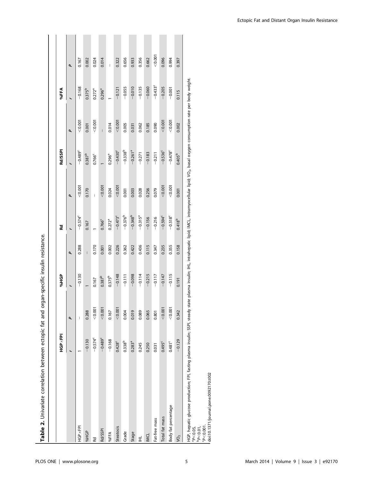|                                                                                                                                                                                                                                                                        | HGP × FPI          |         | <b>POHOP</b> |       | Rd                    |                | Rd/SSPI               |                | %FFA        |                          |
|------------------------------------------------------------------------------------------------------------------------------------------------------------------------------------------------------------------------------------------------------------------------|--------------------|---------|--------------|-------|-----------------------|----------------|-----------------------|----------------|-------------|--------------------------|
|                                                                                                                                                                                                                                                                        |                    | ٩       |              | p     |                       | p              |                       | p              |             | ٩                        |
| HGP xFPI                                                                                                                                                                                                                                                               |                    | I       | $-0.130$     | 0.288 | $-0.574^c$            | < 0.001        | $-0.489^c$            | 0.001          | $-0.168$    | 0.167                    |
| %HGP                                                                                                                                                                                                                                                                   | $-0.130$           | 0.288   |              | Ī.    | 0.167                 | 0.170          | $0.387^{b}$           | 0.001          | $0.375^{b}$ | 0.002                    |
| Rd                                                                                                                                                                                                                                                                     | $-0.574^c$         | < 0.001 | 0.167        | 0.170 |                       | $\overline{1}$ | 0.766 <sup>c</sup>    | < 0.001        | $0.272^{a}$ | 0.024                    |
| Rd/SSPI                                                                                                                                                                                                                                                                | $-0.489c$          | < 0.001 | $0.387^{b}$  | 0.001 | 0.766 <sup>c</sup>    | < 0.001        |                       | $\overline{1}$ | $0.296^{a}$ | 0.014                    |
| %FFA                                                                                                                                                                                                                                                                   | $-0.168$           | 0.167   | $0.375^{b}$  | 0.002 | $0.272^{a}$           | 0.024          | $0.296^{a}$           | 0.014          |             | $\overline{\phantom{a}}$ |
| <b>Steatosis</b>                                                                                                                                                                                                                                                       | 0.428 <sup>c</sup> | < 0.001 | $-0.148$     | 0.226 | $-0.473$ <sup>c</sup> | < 0.001        | $-0.430$ <sup>c</sup> | < 0.001        | $-0.121$    | 0.322                    |
| Grade                                                                                                                                                                                                                                                                  | $0.338^{b}$        | 0.004   | $-0.111$     | 0.362 | $-0.376^{b}$          | 0.001          | $-0.338^{b}$          | 0.005          | $-0.055$    | 0.656                    |
| Stage                                                                                                                                                                                                                                                                  | $0.283^{a}$        | 0.019   | $-0.098$     | 0.422 | $-0.348^{b}$          | 0.003          | $-0.261$ <sup>a</sup> | 0.031          | $-0.010$    | 0.933                    |
| $\vec{E}$                                                                                                                                                                                                                                                              | 0.245              | 0.089   | $-0.114$     | 0.436 | $-0.315^{a}$          | 0.028          | $-0.271$              | 0.062          | $-0.135$    | 0.356                    |
| <b>INCL</b>                                                                                                                                                                                                                                                            | 0.250              | 0.065   | $-0.215$     | 0.115 | $-0.156$              | 0.256          | $-0.183$              | 0.185          | $-0.060$    | 0.662                    |
| Fat-free mass                                                                                                                                                                                                                                                          | 0.031              | 0.801   | $-0.117$     | 0.347 | $-0.216$              | 0.079          | $-0.211$              | 0.090          | $-0.433^c$  | 0000                     |
| Total fat mass                                                                                                                                                                                                                                                         | $0.495^c$          | < 0.001 | $-0.147$     | 0.235 | $-0.594^c$            | < 0.001        | $-0.536^c$            | 0.001          | $-0.205$    | 0.096                    |
| Body fat percentage                                                                                                                                                                                                                                                    | $0.481^c$          | 0.001   | $-0.115$     | 0.355 | $-0.518^c$            | < 0.001        | $-0.478^c$            | 0.001          | $-0.001$    | 0.994                    |
| yo <sub>2</sub>                                                                                                                                                                                                                                                        | $-0.129$           | 0.342   | 0.191        | 0.158 | $0.418^{b}$           | 0.001          | $0.405^{b}$           | 0.002          | 0.115       | 0.397                    |
| HGP, hepatic glucose production; FPI, fasting plasma insulin; SSPI, steady state plasma insulin; IHL, intrahepatic lipid; MCL, intramyocellular lipid; VO <sub>2</sub> , basal oxygen consumption rate per body weight.<br>$0000-9$<br>$^{a}P<0.05$ ,<br>$p$ $<$ 0.01, |                    |         |              |       |                       |                |                       |                |             |                          |

Table 2. Univariate correlation between ectopic fat and organ-specific insulin resistance. Table 2. Univariate correlation between ectopic fat and organ-specific insulin resistance.

 $P< 0.001$ .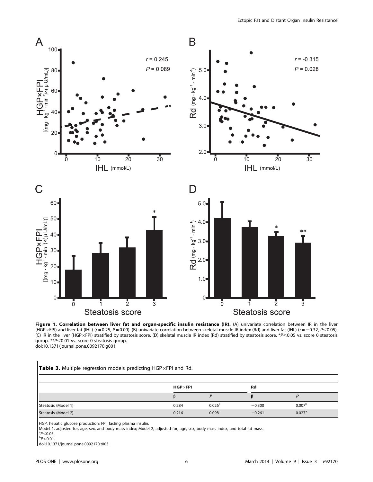

Figure 1. Correlation between liver fat and organ-specific insulin resistance (IR). (A) univariate correlation between IR in the liver (HGP×FPI) and liver fat (IHL) (r = 0.25, P = 0.09). (B) univariate correlation between skeletal muscle IR index (Rd) and liver fat (IHL) (r = -0.32, P<0.05). (C) IR in the liver (HGP×FPI) stratified by steatosis score. (D) skeletal muscle IR index (Rd) stratified by steatosis score. \*P<0.05 vs. score 0 steatosis group.  $*P<0.01$  vs. score 0 steatosis group. doi:10.1371/journal.pone.0092170.g001

# Table 3. Multiple regression models predicting HGP $\times$ FPI and Rd.

|                     | $HGP \times FPI$ |                    | Rd       |                      |
|---------------------|------------------|--------------------|----------|----------------------|
|                     |                  |                    |          |                      |
| Steatosis (Model 1) | 0.284            | 0.026 <sup>a</sup> | $-0.300$ | 0.007 <sup>b</sup>   |
| Steatosis (Model 2) | 0.216            | 0.098              | $-0.261$ | $0.027$ <sup>a</sup> |

HGP, hepatic glucose production; FPI, fasting plasma insulin.

Model 1, adjusted for, age, sex, and body mass index; Model 2, adjusted for, age, sex, body mass index, and total fat mass.

 $_{\rm b}^{\rm a}P<0.05,$  $p$ <sub>0.01</sub>.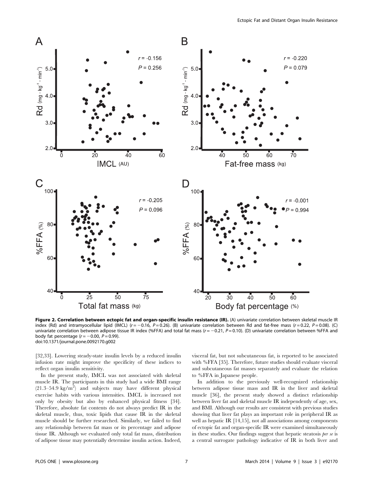

Figure 2. Correlation between ectopic fat and organ-specific insulin resistance (IR). (A) univariate correlation between skeletal muscle IR index (Rd) and intramyocellular lipid (IMCL) ( $r = -0.16$ ,  $P = 0.26$ ). (B) univariate correlation between Rd and fat-free mass ( $r = 0.22$ ,  $P = 0.08$ ). (C) univariate correlation between adipose tissue IR index (%FFA) and total fat mass ( $r = -0.21$ ,  $P = 0.10$ ). (D) univariate correlation between %FFA and body fat percentage ( $r = -0.00$ ,  $P = 0.99$ ). doi:10.1371/journal.pone.0092170.g002

[32,33]. Lowering steady-state insulin levels by a reduced insulin infusion rate might improve the specificity of these indices to reflect organ insulin sensitivity.

In the present study, IMCL was not associated with skeletal muscle IR. The participants in this study had a wide BMI range  $(21.3-54.9 \text{ kg/m}^2)$  and subjects may have different physical exercise habits with various intensities. IMCL is increased not only by obesity but also by enhanced physical fitness [34]. Therefore, absolute fat contents do not always predict IR in the skeletal muscle, thus, toxic lipids that cause IR in the skeletal muscle should be further researched. Similarly, we failed to find any relationship between fat mass or its percentage and adipose tissue IR. Although we evaluated only total fat mass, distribution of adipose tissue may potentially determine insulin action. Indeed, visceral fat, but not subcutaneous fat, is reported to be associated with %FFA [35]. Therefore, future studies should evaluate visceral and subcutaneous fat masses separately and evaluate the relation to %FFA in Japanese people.

In addition to the previously well-recognized relationship between adipose tissue mass and IR in the liver and skeletal muscle [36], the present study showed a distinct relationship between liver fat and skeletal muscle IR independently of age, sex, and BMI. Although our results are consistent with previous studies showing that liver fat plays an important role in peripheral IR as well as hepatic IR [14,15], not all associations among components of ectopic fat and organ-specific IR were examined simultaneously in these studies. Our findings suggest that hepatic steatosis per se is a central surrogate pathology indicative of IR in both liver and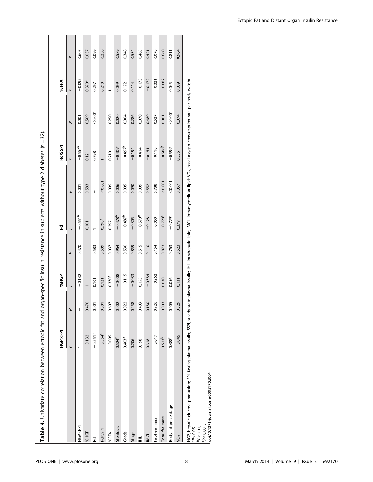| Table 4. Univariate correlation between ectopic fat and organ-specific insulin resistance in subjects without type 2 diabetes (n = 32).                                                                                                                             |                    |       |                    |       |                       |                |                  |                |             |                |
|---------------------------------------------------------------------------------------------------------------------------------------------------------------------------------------------------------------------------------------------------------------------|--------------------|-------|--------------------|-------|-----------------------|----------------|------------------|----------------|-------------|----------------|
|                                                                                                                                                                                                                                                                     | <b>HGP×FPI</b>     |       | <b>SPHS</b>        |       | Rd                    |                | Rd/SSPI          |                | %FFA        |                |
|                                                                                                                                                                                                                                                                     |                    | ۹     |                    | p     |                       | p              |                  | p              |             | p              |
| HGP ×FPI                                                                                                                                                                                                                                                            |                    | I     | $-0.132$           | 0.470 | $-0.551^{b}$          | 0.001          | $-0.554^{b}$     | 0.001          | $-0.095$    | 0.607          |
| %HGP                                                                                                                                                                                                                                                                | $-0.132$           | 0.470 |                    |       | 0.101                 | 0.583          | 0.121            | 0.509          | $0.370^{a}$ | 0.037          |
| Rd                                                                                                                                                                                                                                                                  | $-0.551^{b}$       | 0.001 | 0.101              | 0.583 |                       | $\overline{1}$ | $0.798^c$        | 0.001          | 0.297       | 0.099          |
| Rd/SSPI                                                                                                                                                                                                                                                             | $-0.554^{b}$       | 0.001 | 0.121              | 0.509 | 0.798 <sup>c</sup>    | < 0.001        |                  | $\overline{1}$ | 0.210       | 0.250          |
| %FFA                                                                                                                                                                                                                                                                | $-0.095$           | 0.607 | 0.370 <sup>a</sup> | 0.037 | 0.297                 | 0.099          | 0.210            | 0.250          |             | $\overline{1}$ |
| Steatosis                                                                                                                                                                                                                                                           | $0.524^{b}$        | 0.002 | $-0.008$           | 0.964 | $-0.478^{b}$          | 0.006          | $-0.409^{\rm a}$ | 0.020          | 0.099       | 0.589          |
| Grade                                                                                                                                                                                                                                                               | 0.403 <sup>a</sup> | 0.022 | $-0.115$           | 0.530 | $-0.487^{b}$          | 0.005          | $-0.497^b$       | 0.004          | 0.172       | 0.348          |
| Stage                                                                                                                                                                                                                                                               | 0.206              | 0.258 | $-0.033$           | 0.859 | $-0.305$              | 0.090          | $-0.194$         | 0.286          | 0.114       | 0.534          |
| $\vec{E}$                                                                                                                                                                                                                                                           | 0.198              | 0.403 | 0.155              | 0.515 | $-0.570^{b}$          | 0.009          | $-0.414$         | 0.070          | $-0.173$    | 0.465          |
| <b>INCL</b>                                                                                                                                                                                                                                                         | 0.318              | 0.130 | $-0.334$           | 0.110 | $-0.128$              | 0.552          | $-0.151$         | 0.480          | $-0.172$    | 0.421          |
| Fat-free mass                                                                                                                                                                                                                                                       | $-0.017$           | 0.926 | $-0.262$           | 0.154 | $-0.050$              | 0.788          | $-0.118$         | 0.527          | $-0.321$    | 0.078          |
| Total fat mass                                                                                                                                                                                                                                                      | $0.523^{b}$        | 0.003 | 0.030              | 0.873 | $-0.728$ <sup>c</sup> | < 0.001        | $-0.586^{b}$     | 0.001          | $-0.082$    | 0.660          |
| Body fat percentage                                                                                                                                                                                                                                                 | 0.488 <sup>b</sup> | 0.005 | 0.056              | 0.763 | $-0.729$ <sup>c</sup> | 0.001          | $-0.599c$        | < 0.001        | 0.045       | 0.811          |
| yo <sub>2</sub>                                                                                                                                                                                                                                                     | $-0.045$           | 0.829 | 0.131              | 0.523 | 0.379                 | 0.057          | 0.356            | 0.074          | 0.009       | 0.964          |
| HGP, hepatic glucose production; FPI, fasting plasma insulin; SSPI, steady state plasma insulin; IHL, intrahepatic lipid; IMCL, intramyocellular lipid; VO <sub>2</sub> , basal oxygen consumption rate per body weight<br>0.00002<br>$^{a}P<0.05$ ,<br>$p$ < 0.01, |                    |       |                    |       |                       |                |                  |                |             |                |

 $\tau$ shlo 4. Hobariata

 $P< 0.001$ .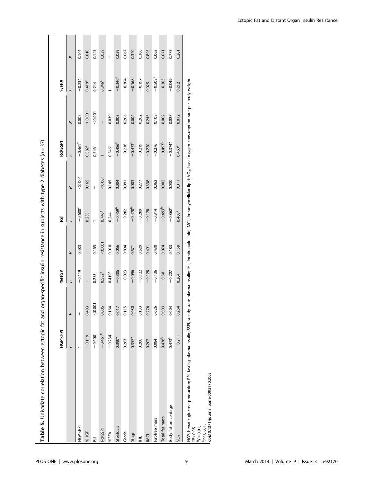|                                                                                                                                                                                                                                                                                             | <b>HGP×FPI</b>     |         | <b>SPHS</b> |         | Rd                    |                | Rd/SSPI               |         | %FFA         |       |
|---------------------------------------------------------------------------------------------------------------------------------------------------------------------------------------------------------------------------------------------------------------------------------------------|--------------------|---------|-------------|---------|-----------------------|----------------|-----------------------|---------|--------------|-------|
|                                                                                                                                                                                                                                                                                             |                    | P       |             | ٩       |                       | P              |                       | P       |              | ٩     |
| HGP ×FPI                                                                                                                                                                                                                                                                                    |                    | I       | $-0.119$    | 0.483   | $-0.6006$             | 00000          | $-0.461^{b}$          | 0.005   | $-0.234$     | 0.164 |
| %HGP                                                                                                                                                                                                                                                                                        | $-0.119$           | 0.483   |             | Ī       | 0.233                 | 0.165          | 0.582 <sup>c</sup>    | < 0.001 | $0.419^{a}$  | 0.010 |
| Rd                                                                                                                                                                                                                                                                                          | $-0.600^c$         | < 0.001 | 0.233       | 0.165   |                       | $\overline{1}$ | $0.746^c$             | < 0.001 | 0.244        | 0.145 |
| Rd/SSPI                                                                                                                                                                                                                                                                                     | $-0.461^{b}$       | 0.005   | $0.582^{c}$ | < 0.001 | $0.746^c$             | < 0.001        |                       |         | $0.346^{a}$  | 0.039 |
| %FFA                                                                                                                                                                                                                                                                                        | $-0.234$           | 0.164   | $0.419^{a}$ | 0.010   | 0.244                 | 0.145          | 0.346 <sup>ª</sup>    | 0.039   |              | I     |
| <b>Steatosis</b>                                                                                                                                                                                                                                                                            | $0.390^{a}$        | 0.017   | $-0.306$    | 0.066   | $-0.459^{b}$          | 0.004          | $-0.486^{b}$          | 0.003   | $-0.340^a$   | 0.039 |
| Grade                                                                                                                                                                                                                                                                                       | 0.263              | 0.115   | $-0.023$    | 0.894   | $-0.282$              | 0.091          | $-0.216$              | 0.206   | $-0.304$     | 0.067 |
| Stage                                                                                                                                                                                                                                                                                       | $0.357^{a}$        | 0.030   | $-0.096$    | 0.571   | $-0.478^{b}$          | 0.003          | $-0.473^{b}$          | 0.004   | $-0.168$     | 0.320 |
| $\vec{E}$                                                                                                                                                                                                                                                                                   | 0.286              | 0.133   | $-0.122$    | 0.529   | $-0.209$              | 0.277          | $-0.219$              | 0.262   | $-0.197$     | 0.306 |
| <b>INCL</b>                                                                                                                                                                                                                                                                                 | 0.202              | 0.276   | $-0.128$    | 0.491   | $-0.178$              | 0.338          | $-0.220$              | 0.243   | 0.025        | 0.893 |
| Fat-free mass                                                                                                                                                                                                                                                                               | 0.084              | 0.626   | $-0.136$    | 0.430   | $-0.314$              | 0.062          | $-0.276$              | 0.108   | $-0.508^{b}$ | 0.002 |
| Total fat mass                                                                                                                                                                                                                                                                              | 0.478 <sup>b</sup> | 0.003   | $-0.301$    | 0.074   | $-0.493^{b}$          | 0.002          | $-0.497^b$            | 0.002   | $-0.305$     | 0.071 |
| Body fat percentage                                                                                                                                                                                                                                                                         | 0.473 <sup>b</sup> | 0.004   | $-0.227$    | 0.183   | $-0.362$ <sup>a</sup> | 0.030          | $-0.374$ <sup>a</sup> | 0.027   | $-0.049$     | 0.775 |
| yo <sub>2</sub>                                                                                                                                                                                                                                                                             | $-0.211$           | 0.264   | 0.264       | 0.159   | $0.460^{a}$           | 0.011          | 0.460 <sup>a</sup>    | 0.012   | 0.212        | 0.261 |
| HGP, hepatic glucose production; FPI, fasting plasma insulin; SSPI, steady state plasma insulin; IHL, intrahepatic lipid; MCL, intramyocellular lipid; VO <sub>2</sub> , basal oxygen consumption rate per body weight.<br>$C_{D}$ $\sim$ 0 $\sim$ 0 1<br>$1^{a}P<0.05$ ,<br>$^{b}P<0.01$ , |                    |         |             |         |                       |                |                       |         |              |       |

-specific insulin resistance in subjects with type 2 diabetes  $(n=37)$ . Table 5. Univariate correlation between ectopic fat and organ-specific insulin resistance in subjects with type 2 diabetes (n = 37). ectonic fat and organ- $\sum_{i=1}^{n}$  $\tau$ able  $\epsilon$  Thoivariate correlation bety

 $P< 0.001$ .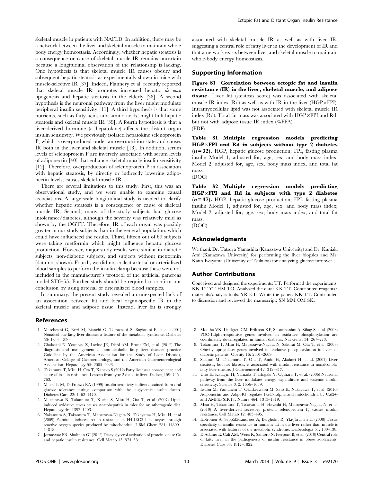skeletal muscle in patients with NAFLD. In addition, there may be a network between the liver and skeletal muscle to maintain whole body energy homeostasis. Accordingly, whether hepatic steatosis is a consequence or cause of skeletal muscle IR remains uncertain because a longitudinal observation of the relationship is lacking. One hypothesis is that skeletal muscle IR causes obesity and subsequent hepatic steatosis as experimentally shown in mice with muscle-selective IR [37]. Indeed, Flannery et al. recently reported that skeletal muscle IR promotes increased hepatic de novo lipogenesis and hepatic steatosis in the elderly [38]. A second hypothesis is the neuronal pathway from the liver might modulate peripheral insulin sensitivity [11]. A third hypothesis is that some nutrients, such as fatty acids and amino acids, might link hepatic steatosis and skeletal muscle IR [39]. A fourth hypothesis is that a liver-derived hormone (a hepatokine) affects the distant organ insulin sensitivity. We previously isolated hepatokine selenoprotein P, which is overproduced under an overnutrition state and causes IR both in the liver and skeletal muscle [13]. In addition, serum levels of selenoprotein P are inversely associated with serum levels of adiponectin [40] that enhance skeletal muscle insulin sensitivity [12]. Therefore, overproduction of selenoprotein P in association with hepatic steatosis, by directly or indirectly lowering adiponectin levels, causes skeletal muscle IR.

There are several limitations to this study. First, this was an observational study, and we were unable to examine causal associations. A large-scale longitudinal study is needed to clarify whether hepatic steatosis is a consequence or cause of skeletal muscle IR. Second, many of the study subjects had glucose intolerance/diabetes, although the severity was relatively mild as shown by the OGTT. Therefore, IR of each organ was possibly greater in our study subjects than in the general population, which could have influenced the results. Third, fifteen out of 69 subjects were taking metformin which might influence hepatic glucose production. However, major study results were similar in diabetic subjects, non-diabetic subjects, and subjects without metformin (data not shown). Fourth, we did not collect arterial or arterialized blood samples to perform the insulin clamp because these were not included in the manufacturer's protocol of the artificial pancreas model STG-55. Further study should be required to confirm our conclusion by using arterial or arterialized blood samples.

In summary, the present study revealed an unexpected lack of an association between fat and local organ-specific IR in the skeletal muscle and adipose tissue. Instead, liver fat is strongly

#### References

- 1. Marchesini G, Brizi M, Bianchi G, Tomassetti S, Bugianesi E, et al. (2001) Nonalcoholic fatty liver disease: a feature of the metabolic syndrome. Diabetes 50: 1844–1850.
- 2. Chalasani N, Younossi Z, Lavine JE, Diehl AM, Brunt EM, et al. (2012) The diagnosis and management of non-alcoholic fatty liver disease: practice Guideline by the American Association for the Study of Liver Diseases, American College of Gastroenterology, and the American Gastroenterological Association. Hepatology 55: 2005–2023.
- 3. Takamura T, Misu H, Ota T, Kaneko S (2012) Fatty liver as a consequence and cause of insulin resistance: Lessons from type 2 diabetic liver. Endocr J 59: 745– 763.
- 4. Matsuda M, DeFronzo RA (1999) Insulin sensitivity indices obtained from oral glucose tolerance testing: comparison with the euglycemic insulin clamp. Diabetes Care 22: 1462–1470.
- 5. Matsuzawa N, Takamura T, Kurita S, Misu H, Ota T, et al. (2007) Lipidinduced oxidative stress causes steatohepatitis in mice fed an atherogenic diet. Hepatology 46: 1392–1403.
- 6. Nakamura S, Takamura T, Matsuzawa-Nagata N, Takayama H, Misu H, et al (2009) Palmitate induces insulin resistance in H4IIEC3 hepatocytes through reactive oxygen species produced by mitochondria. J Biol Chem 284: 14809– 14818.
- 7. Jornayvaz FR, Shulman GI (2012) Diacylglycerol activation of protein kinase Ce and hepatic insulin resistance. Cell Metab 15: 574–584.

associated with skeletal muscle IR as well as with liver IR, suggesting a central role of fatty liver in the development of IR and that a network exists between liver and skeletal muscle to maintain whole-body energy homeostasis.

# Supporting Information

Figure S1 Correlation between ectopic fat and insulin resistance (IR) in the liver, skeletal muscle, and adipose tissue. Liver fat (steatosis score) was associated with skeletal muscle IR index  $(Rd)$  as well as with IR in the liver  $(HGP\times FPI)$ . Intramyocellular lipid was not associated with skeletal muscle IR index (Rd). Total fat mass was associated with  $HGP\times FPI$  and Rd, but not with adipose tissue IR index (%FFA). (PDF)

Table S1 Multiple regression models predicting  $HGP \times FPI$  and Rd in subjects without type 2 diabetes  $(n=32)$ . HGP, hepatic glucose production; FPI, fasting plasma insulin Model 1, adjusted for, age, sex, and body mass index; Model 2, adjusted for, age, sex, body mass index, and total fat mass.

(DOC)

Table S2 Multiple regression models predicting HGP×FPI and Rd in subjects with type 2 diabetes  $(n=37)$ . HGP, hepatic glucose production; FPI, fasting plasma insulin Model 1, adjusted for, age, sex, and body mass index; Model 2, adjusted for, age, sex, body mass index, and total fat mass.

(DOC)

## Acknowledgments

We thank Dr. Tatsuya Yamashita (Kanazawa University) and Dr. Kuniaki Arai (Kanazawa University) for performing the liver biopsies and Mr. Kaito Iwayama (University of Tsukuba) for analyzing glucose turnover.

#### Author Contributions

Conceived and designed the experiments: TT. Performed the experiments: KK TT YT HM TO. Analyzed the data: KK TT. Contributed reagents/ materials/analysis tools: YR KT. Wrote the paper: KK TT. Contributed to discussion and reviewed the manuscript: SN MM OM SK.

- 8. Mootha VK, Lindgren CM, Eriksson KF, Subramanian A, Sihag S, et al. (2003) PGC-1alpha-responsive genes involved in oxidative phosphorylation are coordinately downregulated in human diabetes. Nat Genet 34: 267–273.
- 9. Takamura T, Misu H, Matsuzawa-Nagata N, Sakurai M, Ota T, et al. (2008) Obesity upregulates genes involved in oxidative phosphorylation in livers of diabetic patients. Obesity 16: 2601–2609.
- 10. Sakurai M, Takamura T, Ota T, Ando H, Akahori H, et al. (2007) Liver steatosis, but not fibrosis, is associated with insulin resistance in nonalcoholic fatty liver disease. J Gastroenterol 42: 312–317.
- 11. Uno K, Katagiri H, Yamada T, Ishigaki Y, Ogihara T, et al. (2006) Neuronal pathway from the liver modulates energy expenditure and systemic insulin sensitivity. Science 312: 1656–1659.
- 12. Iwabu M, Yamauchi T, Okada-Iwabu M, Sato K, Nakagawa T, et al. (2010) Adiponectin and AdipoR1 regulate PGC-1alpha and mitochondria by Ca(2+) and AMPK/SIRT1. Nature 464: 1313–1319.
- 13. Misu H, Takamura T, Takayama H, Hayashi H, Matsuzawa-Nagata N, et al. (2010) A liver-derived secretory protein, selenoprotein P, causes insulin resistance. Cell Metab 12: 483–495.
- 14. Kotronen A, Seppälä-Lindroos A, Bergholm R, Yki-Järvinen H (2008) Tissue specificity of insulin resistance in humans: fat in the liver rather than muscle is associated with features of the metabolic syndrome. Diabetologia 51: 130–138.
- 15. D'Adamo E, Cali AM, Weiss R, Santoro N, Pierpont B, et al. (2010) Central role of fatty liver in the pathogenesis of insulin resistance in obese adolescents. Diabetes Care 33: 1817–1822.